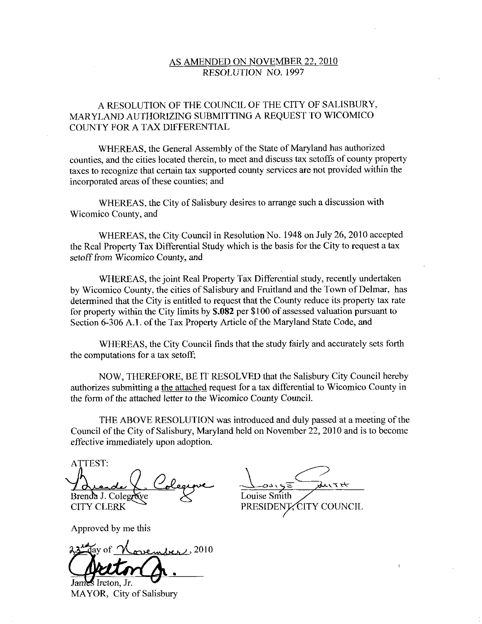## AS AMENDED ON NOVEMBER 22, 2010 RESOLUTION NO. 1997

## A RESOLUTION OF THE COUNCIL OF THE CITY OF SALISBURY MARYLAND AUTHORIZING SUBMITTING A REQUEST TO WICOMICO COUNTY FOR A TAX DIFFERENTIAL

WHEREAS, the General Assembly of the State of Maryland has authorized counties, and the cities located therein, to meet and discuss tax setoffs of county property taxes to recognize that certain tax supported county services are not provided within the incorporated areas of these counties; and

WHEREAS, the City of Salisbury desires to arrange such a discussion with Wicomico County, and

WHEREAS, the City Council in Resolution No. 1948 on July 26, 2010 accepted the Real Property Tax Differential Study which is the basis for the City to request atax setoff from Wicomico County, and

WHEREAS, the joint Real Property Tax Differential study, recently undertaken by Wicomico County, the cities of Salisbury and Fruitland and the Town of Delmar, has determined that the City is entitled to request that the County reduce its property tax rate<br>for property within the City limits by **\$.082** per \$100 of assessed valuation pursuant to<br>Section 6-306 A.1. of the Tax Property for property within the City limits by \$.082 per \$100 of assessed valuation pursuant to Section 6-306 A.1. of the Tax Property Article of the Maryland State Code, and

WHEREAS, the City Council finds that the study fairly and accurately sets forth the computations for a tax setoff;

NOW, THEREFORE, BE IT RESOLVED that the Salisbury City Council hereby authorizes submitting a the attached request for a tax differential to Wicomico County in the form of the attached letter to the Wicomico County Council.

THE ABOVE RESOLUTION was introduced and duly passed at a meeting of the Council of the City of Salisbury, Maryland held on November 22, 2010 and is to become effective immediately upon adoption

ATTEST <u>لم</u>

Brenda J. Colegrave CITY CLERK

Approved by me this

23 day of <u>November</u>, 2010 ا<br>معد<br><mark>م</mark>

 $\mathcal S$  Ireton, Jr. MAYOR, City of Salisbury

Louise Smith<br>PRESIDENT CITY COUNCIL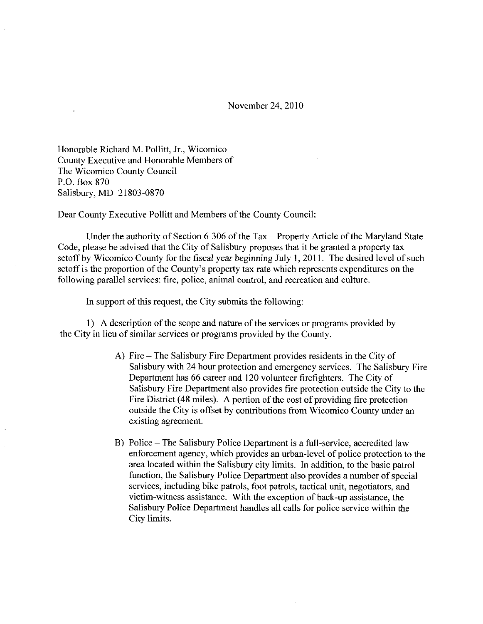November 24 2010

Honorable Richard M. Pollitt, Jr., Wicomico County Executive and Honorable Members of The Wicomico County Council<br>P.O. Box 870 P.O. Box 870<br>Salisbury, MD 21803-0870

Dear County Executive Pollitt and Members of the County Council:

Under the authority of Section 6-306 of the Tax  $-$  Property Article of the Maryland State Code, please be advised that the City of Salisbury proposes that it be granted a property tax setoff by Wicomico County for the fiscal year beginning July 1, 2011. The desired level of such Under the authority of Section 6-306 of the Tax – Property Article of the Maryland Sta<br>Code, please be advised that the City of Salisbury proposes that it be granted a property tax<br>setoff by Wicomico County for the fiscal following parallel services: fire, police, animal control, and recreation and culture.

In support of this request, the City submits the following:

1) A description of the scope and nature of the services or programs provided by the City in lieu of similar services or programs provided by the County

- A) Fire The Salisbury Fire Department provides residents in the City of Salisbury with 24 hour protection and emergency services. The Salisbury Fire Department has 66 career and 120 volunteer firefighters. The City of Salisbury Fire Department also provides fire protection outside the City to the Fire District (48 miles). A portion of the cost of providing fire protection outside the City is offset by contributions from Wicomico County under an existing agreement
- B) Police The Salisbury Police Department is a full-service, accredited law<br>enforcement agency, which provides an urban lavel of police protection to Police – The Salisbury Police Department is a full-service, accredited law<br>enforcement agency, which provides an urban-level of police protection to the area located within the Salisbury city limits. In addition, to the basic patrol function, the Salisbury Police Department also provides a number of special services, including bike patrols, foot patrols, tactical unit, negotiators, and<br>victim-witness assistance. With the exception of back-up assistance, the<br>Selisbury Police Department bandles all sells for police service with Salisbury Police Department handles all calls for police service within the City limits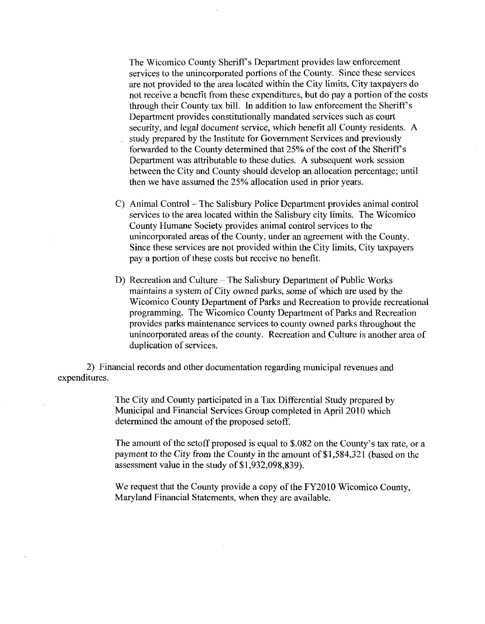The Wicomico County Sheriff's Department provides law enforcement services to the unincorporated portions of the County. Since these services are not provided to the area located within the City limits, City taxpayers do not receive a benefit from these expenditures, but do pay a portion of the costs The Wicomico County Sheriff's Department provides law enforcement<br>services to the unincorporated portions of the County. Since these service<br>are not provided to the area located within the City limits, City taxpayers c<br>not Department provides constitutionally mandated services such as court security, and legal document service, which benefit all County residents. A study prepared by the Institute for Government Services and previously forwarded to the County determined that 25% of the cost of the Sheriff's Department was attributable to these duties. A subsequent work session between the City and County should develop an allocation percentage; until then we have assumed the  $25%$  allocation used in prior years.

- C) Animal Control The Salisbury Police Department provides animal control services to the area located within the Salisbury city limits. The Wicomico County Humane Society provides animal control services to the unincorporated areas of the County, under an agreement with the County. Since these services are not provided within the City limits, City taxpayers pay <sup>a</sup> portion of these costs but receive no benefit
- D) Recreation and Culture The Salisbury Department of Public Works maintains a system of City owned parks, some of which are used by the Wicomico County Department of Parks and Recreation to provide recreational programming. The Wicomico County Department of Parks and Recreation provides parks maintenance services to county owned parks throughout the unincorporated areas of the county. Recreation and Culture is another area of duplication of services.

2 Financial records and other documentation regarding municipal revenues and expenditures

> The City and County participated in a Tax Differential Study prepared by Municipal and Financial Services Group completed in Apri12010 which determined the amount of the proposed setoff The City and County participated in a Tax Differential Study prepared by<br>Municipal and Financial Services Group completed in April 2010 which<br>determined the amount of the proposed setoff.<br>The amount of the setoff proposed

> The City and County participated in a Tax Differe<br>Municipal and Financial Services Group complete<br>determined the amount of the proposed setoff.<br>The amount of the setoff proposed is equal to \$.03<br>payment to the City from th

We request that the County provide a copy of the FY2010 Wicomico County Maryland Financial Statements, when they are available.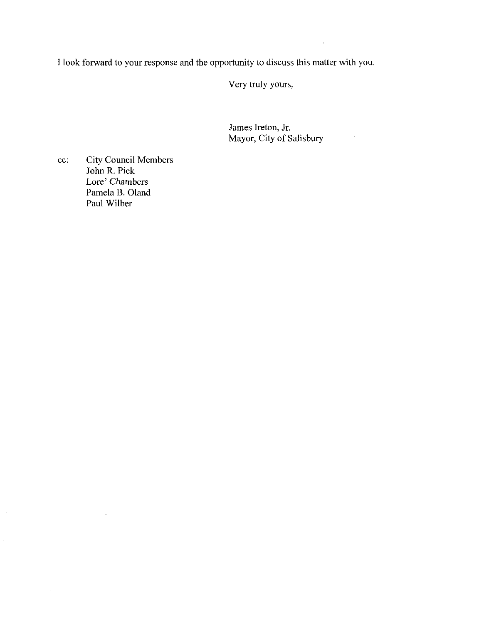<sup>T</sup> look forward to your response and the opportunity to discuss this matterwith you

Very truly yours

James Ireton, Jr. Mayor, City of Salisbury

 $\sim$ 

cc: City Council Members John R. Pick Lore' Chambers Pamela B. Oland Paul Wilber

 $\overline{\phantom{a}}$ 

 $\sim$ 

 $\sim$ 

 $\hat{\mathcal{A}}$